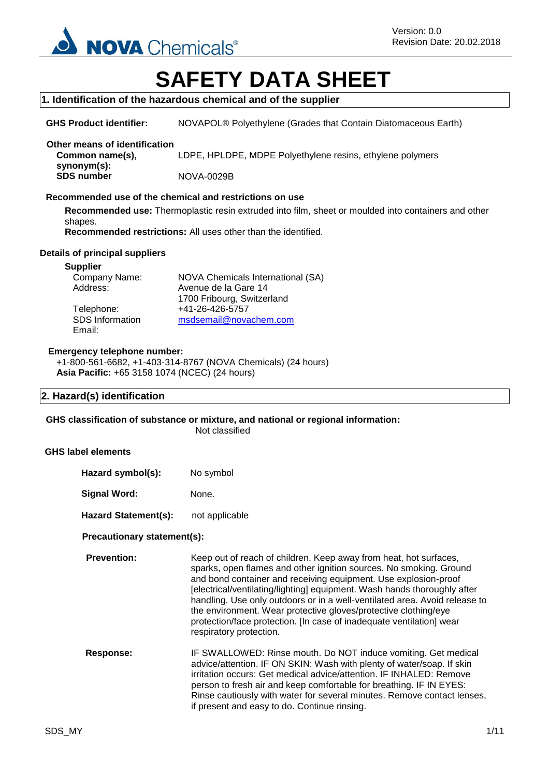

# **SAFETY DATA SHEET**

#### **1. Identification of the hazardous chemical and of the supplier**

**GHS Product identifier:** NOVAPOL® Polyethylene (Grades that Contain Diatomaceous Earth)

# **Other means of identification**

**Common name(s), synonym(s):** LDPE, HPLDPE, MDPE Polyethylene resins, ethylene polymers **SDS number** NOVA-0029B

#### **Recommended use of the chemical and restrictions on use**

**Recommended use:** Thermoplastic resin extruded into film, sheet or moulded into containers and other shapes.

**Recommended restrictions:** All uses other than the identified.

#### **Details of principal suppliers**

#### **Supplier**

| Company Name:   | NOVA Chemicals International (SA) |
|-----------------|-----------------------------------|
| Address:        | Avenue de la Gare 14              |
|                 | 1700 Fribourg, Switzerland        |
| Telephone:      | +41-26-426-5757                   |
| SDS Information | msdsemail@novachem.com            |
| Email:          |                                   |

#### **Emergency telephone number:**

+1-800-561-6682, +1-403-314-8767 (NOVA Chemicals) (24 hours) **Asia Pacific:** +65 3158 1074 (NCEC) (24 hours)

#### **2. Hazard(s) identification**

**GHS classification of substance or mixture, and national or regional information:** Not classified

#### **GHS label elements**

| Hazard symbol(s):           | No symbol                                                                                                                                                                                                                                                                                                                                                                                                                                                                                                                                  |  |
|-----------------------------|--------------------------------------------------------------------------------------------------------------------------------------------------------------------------------------------------------------------------------------------------------------------------------------------------------------------------------------------------------------------------------------------------------------------------------------------------------------------------------------------------------------------------------------------|--|
| Signal Word:                | None.                                                                                                                                                                                                                                                                                                                                                                                                                                                                                                                                      |  |
| <b>Hazard Statement(s):</b> | not applicable                                                                                                                                                                                                                                                                                                                                                                                                                                                                                                                             |  |
| Precautionary statement(s): |                                                                                                                                                                                                                                                                                                                                                                                                                                                                                                                                            |  |
| <b>Prevention:</b>          | Keep out of reach of children. Keep away from heat, hot surfaces,<br>sparks, open flames and other ignition sources. No smoking. Ground<br>and bond container and receiving equipment. Use explosion-proof<br>[electrical/ventilating/lighting] equipment. Wash hands thoroughly after<br>handling. Use only outdoors or in a well-ventilated area. Avoid release to<br>the environment. Wear protective gloves/protective clothing/eye<br>protection/face protection. [In case of inadequate ventilation] wear<br>respiratory protection. |  |
| Response:                   | IF SWALLOWED: Rinse mouth. Do NOT induce vomiting. Get medical<br>advice/attention. IF ON SKIN: Wash with plenty of water/soap. If skin<br>irritation occurs: Get medical advice/attention. IF INHALED: Remove<br>person to fresh air and keep comfortable for breathing. IF IN EYES:<br>Rinse cautiously with water for several minutes. Remove contact lenses,<br>if present and easy to do. Continue rinsing.                                                                                                                           |  |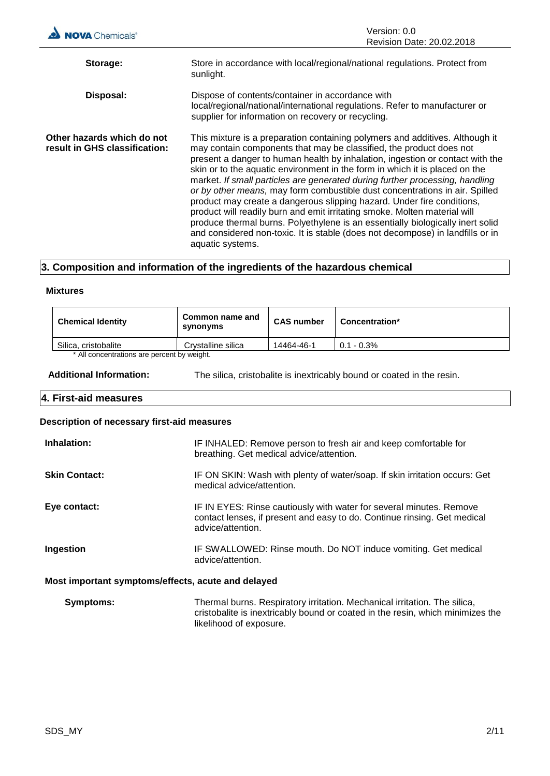| <b>NOVA</b> Chemicals®                                      | Version: 0.0<br>Revision Date: 20.02.2018                                                                                                                                                                                                                                                                                                                                                                                                                                                                                                                                                                                                                                                                                                                                                                                         |
|-------------------------------------------------------------|-----------------------------------------------------------------------------------------------------------------------------------------------------------------------------------------------------------------------------------------------------------------------------------------------------------------------------------------------------------------------------------------------------------------------------------------------------------------------------------------------------------------------------------------------------------------------------------------------------------------------------------------------------------------------------------------------------------------------------------------------------------------------------------------------------------------------------------|
| Storage:                                                    | Store in accordance with local/regional/national regulations. Protect from<br>sunlight.                                                                                                                                                                                                                                                                                                                                                                                                                                                                                                                                                                                                                                                                                                                                           |
| Disposal:                                                   | Dispose of contents/container in accordance with<br>local/regional/national/international regulations. Refer to manufacturer or<br>supplier for information on recovery or recycling.                                                                                                                                                                                                                                                                                                                                                                                                                                                                                                                                                                                                                                             |
| Other hazards which do not<br>result in GHS classification: | This mixture is a preparation containing polymers and additives. Although it<br>may contain components that may be classified, the product does not<br>present a danger to human health by inhalation, ingestion or contact with the<br>skin or to the aquatic environment in the form in which it is placed on the<br>market. If small particles are generated during further processing, handling<br>or by other means, may form combustible dust concentrations in air. Spilled<br>product may create a dangerous slipping hazard. Under fire conditions,<br>product will readily burn and emit irritating smoke. Molten material will<br>produce thermal burns. Polyethylene is an essentially biologically inert solid<br>and considered non-toxic. It is stable (does not decompose) in landfills or in<br>aquatic systems. |

# **3. Composition and information of the ingredients of the hazardous chemical**

#### **Mixtures**

| <b>Chemical Identity</b>                   | Common name and<br>synonyms | <b>CAS number</b> | Concentration* |
|--------------------------------------------|-----------------------------|-------------------|----------------|
| Silica, cristobalite                       | Crystalline silica          | 14464-46-1        | $0.1 - 0.3\%$  |
| * All concentrations are percent by weight |                             |                   |                |

All concentrations are percent by weight.

**Additional Information:** The silica, cristobalite is inextricably bound or coated in the resin.

### **4. First-aid measures**

#### **Description of necessary first-aid measures**

| Inhalation:                                        | IF INHALED: Remove person to fresh air and keep comfortable for<br>breathing. Get medical advice/attention.                                                          |  |
|----------------------------------------------------|----------------------------------------------------------------------------------------------------------------------------------------------------------------------|--|
| <b>Skin Contact:</b>                               | IF ON SKIN: Wash with plenty of water/soap. If skin irritation occurs: Get<br>medical advice/attention.                                                              |  |
| Eye contact:                                       | IF IN EYES: Rinse cautiously with water for several minutes. Remove<br>contact lenses, if present and easy to do. Continue rinsing. Get medical<br>advice/attention. |  |
| Ingestion                                          | IF SWALLOWED: Rinse mouth. Do NOT induce vomiting. Get medical<br>advice/attention.                                                                                  |  |
| Most important symptoms/effects, acute and delayed |                                                                                                                                                                      |  |

#### t symptoms/effects**,**

| <b>Symptoms:</b> | Thermal burns. Respiratory irritation. Mechanical irritation. The silica,      |
|------------------|--------------------------------------------------------------------------------|
|                  | cristobalite is inextricably bound or coated in the resin, which minimizes the |
|                  | likelihood of exposure.                                                        |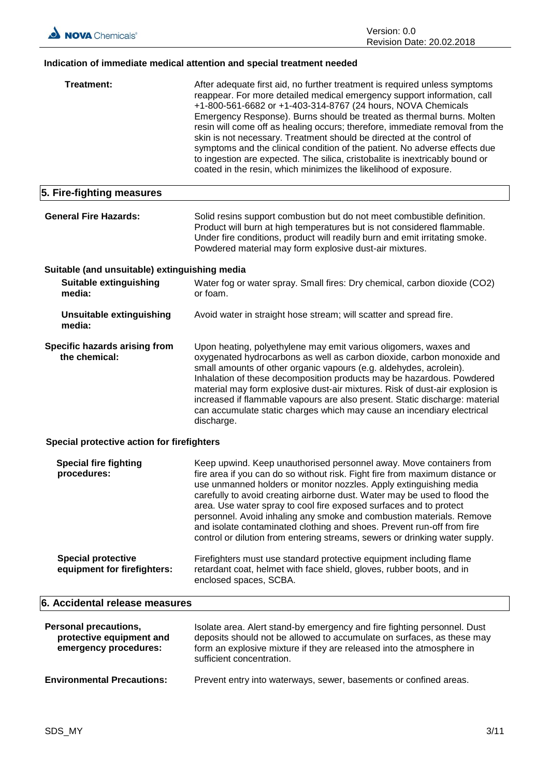# **Indication of immediate medical attention and special treatment needed**

| Treatment:                                                                        | After adequate first aid, no further treatment is required unless symptoms<br>reappear. For more detailed medical emergency support information, call<br>+1-800-561-6682 or +1-403-314-8767 (24 hours, NOVA Chemicals<br>Emergency Response). Burns should be treated as thermal burns. Molten<br>resin will come off as healing occurs; therefore, immediate removal from the<br>skin is not necessary. Treatment should be directed at the control of<br>symptoms and the clinical condition of the patient. No adverse effects due<br>to ingestion are expected. The silica, cristobalite is inextricably bound or<br>coated in the resin, which minimizes the likelihood of exposure. |
|-----------------------------------------------------------------------------------|-------------------------------------------------------------------------------------------------------------------------------------------------------------------------------------------------------------------------------------------------------------------------------------------------------------------------------------------------------------------------------------------------------------------------------------------------------------------------------------------------------------------------------------------------------------------------------------------------------------------------------------------------------------------------------------------|
| 5. Fire-fighting measures                                                         |                                                                                                                                                                                                                                                                                                                                                                                                                                                                                                                                                                                                                                                                                           |
| <b>General Fire Hazards:</b>                                                      | Solid resins support combustion but do not meet combustible definition.<br>Product will burn at high temperatures but is not considered flammable.<br>Under fire conditions, product will readily burn and emit irritating smoke.<br>Powdered material may form explosive dust-air mixtures.                                                                                                                                                                                                                                                                                                                                                                                              |
| Suitable (and unsuitable) extinguishing media                                     |                                                                                                                                                                                                                                                                                                                                                                                                                                                                                                                                                                                                                                                                                           |
| Suitable extinguishing<br>media:                                                  | Water fog or water spray. Small fires: Dry chemical, carbon dioxide (CO2)<br>or foam.                                                                                                                                                                                                                                                                                                                                                                                                                                                                                                                                                                                                     |
| <b>Unsuitable extinguishing</b><br>media:                                         | Avoid water in straight hose stream; will scatter and spread fire.                                                                                                                                                                                                                                                                                                                                                                                                                                                                                                                                                                                                                        |
| Specific hazards arising from<br>the chemical:                                    | Upon heating, polyethylene may emit various oligomers, waxes and<br>oxygenated hydrocarbons as well as carbon dioxide, carbon monoxide and<br>small amounts of other organic vapours (e.g. aldehydes, acrolein).<br>Inhalation of these decomposition products may be hazardous. Powdered<br>material may form explosive dust-air mixtures. Risk of dust-air explosion is<br>increased if flammable vapours are also present. Static discharge: material<br>can accumulate static charges which may cause an incendiary electrical<br>discharge.                                                                                                                                          |
| Special protective action for firefighters                                        |                                                                                                                                                                                                                                                                                                                                                                                                                                                                                                                                                                                                                                                                                           |
| <b>Special fire fighting</b><br>procedures:                                       | Keep upwind. Keep unauthorised personnel away. Move containers from<br>fire area if you can do so without risk. Fight fire from maximum distance or<br>use unmanned holders or monitor nozzles. Apply extinguishing media<br>carefully to avoid creating airborne dust. Water may be used to flood the<br>area. Use water spray to cool fire exposed surfaces and to protect<br>personnel. Avoid inhaling any smoke and combustion materials. Remove<br>and isolate contaminated clothing and shoes. Prevent run-off from fire<br>control or dilution from entering streams, sewers or drinking water supply.                                                                             |
| <b>Special protective</b><br>equipment for firefighters:                          | Firefighters must use standard protective equipment including flame<br>retardant coat, helmet with face shield, gloves, rubber boots, and in<br>enclosed spaces, SCBA.                                                                                                                                                                                                                                                                                                                                                                                                                                                                                                                    |
| 6. Accidental release measures                                                    |                                                                                                                                                                                                                                                                                                                                                                                                                                                                                                                                                                                                                                                                                           |
| <b>Personal precautions,</b><br>protective equipment and<br>emergency procedures: | Isolate area. Alert stand-by emergency and fire fighting personnel. Dust<br>deposits should not be allowed to accumulate on surfaces, as these may<br>form an explosive mixture if they are released into the atmosphere in<br>sufficient concentration.                                                                                                                                                                                                                                                                                                                                                                                                                                  |
| <b>Environmental Precautions:</b>                                                 | Prevent entry into waterways, sewer, basements or confined areas.                                                                                                                                                                                                                                                                                                                                                                                                                                                                                                                                                                                                                         |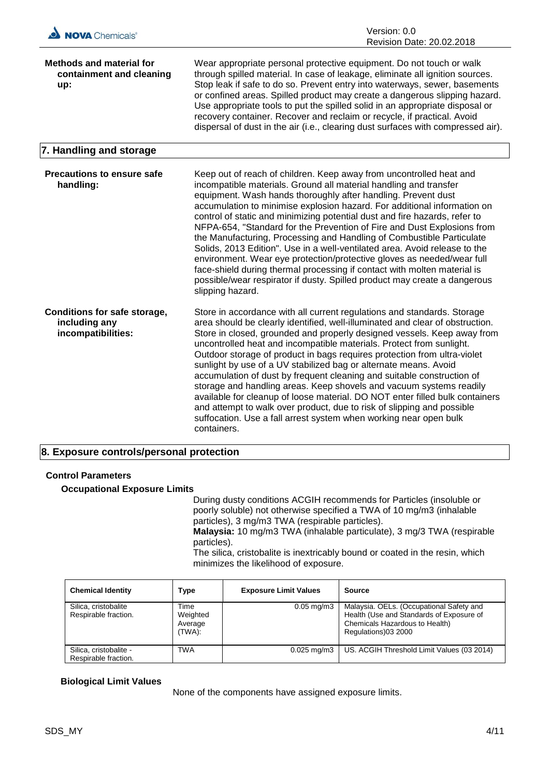| NOVA Chemicals®                                                     | Version: 0.0<br>Revision Date: 20.02.2018                                                                                                                                                                                                                                                                                                                                                                                                                                                                                                                                                                                                                                                                                                                                                                                                                    |
|---------------------------------------------------------------------|--------------------------------------------------------------------------------------------------------------------------------------------------------------------------------------------------------------------------------------------------------------------------------------------------------------------------------------------------------------------------------------------------------------------------------------------------------------------------------------------------------------------------------------------------------------------------------------------------------------------------------------------------------------------------------------------------------------------------------------------------------------------------------------------------------------------------------------------------------------|
| <b>Methods and material for</b><br>containment and cleaning<br>up:  | Wear appropriate personal protective equipment. Do not touch or walk<br>through spilled material. In case of leakage, eliminate all ignition sources.<br>Stop leak if safe to do so. Prevent entry into waterways, sewer, basements<br>or confined areas. Spilled product may create a dangerous slipping hazard.<br>Use appropriate tools to put the spilled solid in an appropriate disposal or<br>recovery container. Recover and reclaim or recycle, if practical. Avoid<br>dispersal of dust in the air (i.e., clearing dust surfaces with compressed air).                                                                                                                                                                                                                                                                                             |
| 7. Handling and storage                                             |                                                                                                                                                                                                                                                                                                                                                                                                                                                                                                                                                                                                                                                                                                                                                                                                                                                              |
| <b>Precautions to ensure safe</b><br>handling:                      | Keep out of reach of children. Keep away from uncontrolled heat and<br>incompatible materials. Ground all material handling and transfer<br>equipment. Wash hands thoroughly after handling. Prevent dust<br>accumulation to minimise explosion hazard. For additional information on<br>control of static and minimizing potential dust and fire hazards, refer to<br>NFPA-654, "Standard for the Prevention of Fire and Dust Explosions from<br>the Manufacturing, Processing and Handling of Combustible Particulate<br>Solids, 2013 Edition". Use in a well-ventilated area. Avoid release to the<br>environment. Wear eye protection/protective gloves as needed/wear full<br>face-shield during thermal processing if contact with molten material is<br>possible/wear respirator if dusty. Spilled product may create a dangerous<br>slipping hazard. |
| Conditions for safe storage,<br>including any<br>incompatibilities: | Store in accordance with all current regulations and standards. Storage<br>area should be clearly identified, well-illuminated and clear of obstruction.<br>Store in closed, grounded and properly designed vessels. Keep away from<br>uncontrolled heat and incompatible materials. Protect from sunlight.<br>Outdoor storage of product in bags requires protection from ultra-violet<br>sunlight by use of a UV stabilized bag or alternate means. Avoid<br>accumulation of dust by frequent cleaning and suitable construction of<br>storage and handling areas. Keep shovels and vacuum systems readily<br>available for cleanup of loose material. DO NOT enter filled bulk containers<br>and attempt to walk over product, due to risk of slipping and possible<br>suffocation. Use a fall arrest system when working near open bulk<br>containers.   |

### **8. Exposure controls/personal protection**

### **Control Parameters**

#### **Occupational Exposure Limits**

During dusty conditions ACGIH recommends for Particles (insoluble or poorly soluble) not otherwise specified a TWA of 10 mg/m3 (inhalable particles), 3 mg/m3 TWA (respirable particles). **Malaysia:** 10 mg/m3 TWA (inhalable particulate), 3 mg/3 TWA (respirable

particles).

The silica, cristobalite is inextricably bound or coated in the resin, which minimizes the likelihood of exposure.

| <b>Chemical Identity</b>                       | Type                                  | <b>Exposure Limit Values</b> | <b>Source</b>                                                                                                                                 |
|------------------------------------------------|---------------------------------------|------------------------------|-----------------------------------------------------------------------------------------------------------------------------------------------|
| Silica, cristobalite<br>Respirable fraction.   | Time<br>Weighted<br>Average<br>(TWA): | $0.05$ mg/m $3$              | Malaysia. OELs. (Occupational Safety and<br>Health (Use and Standards of Exposure of<br>Chemicals Hazardous to Health)<br>Regulations)03 2000 |
| Silica, cristobalite -<br>Respirable fraction. | TWA                                   | $0.025 \,\mathrm{mq/m3}$     | US. ACGIH Threshold Limit Values (03 2014)                                                                                                    |

#### **Biological Limit Values**

None of the components have assigned exposure limits.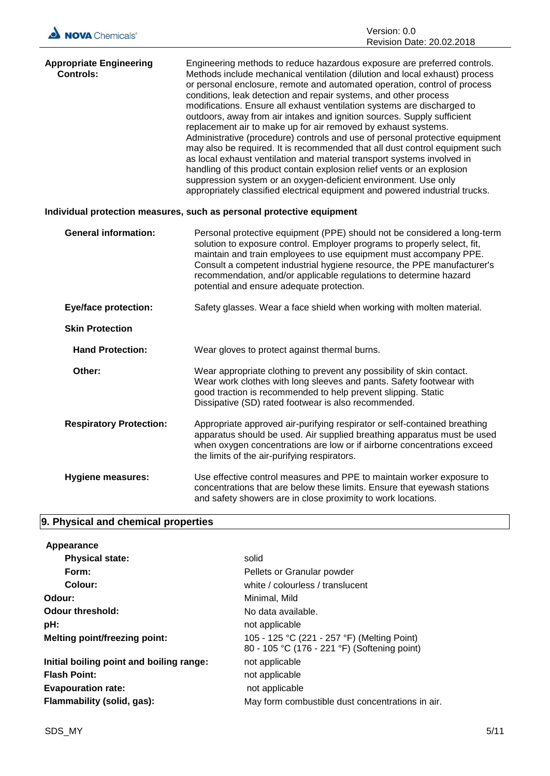

| <b>Appropriate Engineering</b> | Engineering methods to reduce hazardous exposure are preferred controls.     |
|--------------------------------|------------------------------------------------------------------------------|
| <b>Controls:</b>               | Methods include mechanical ventilation (dilution and local exhaust) process  |
|                                | or personal enclosure, remote and automated operation, control of process    |
|                                | conditions, leak detection and repair systems, and other process             |
|                                | modifications. Ensure all exhaust ventilation systems are discharged to      |
|                                | outdoors, away from air intakes and ignition sources. Supply sufficient      |
|                                | replacement air to make up for air removed by exhaust systems.               |
|                                | Administrative (procedure) controls and use of personal protective equipment |
|                                | may also be required. It is recommended that all dust control equipment such |
|                                | as local exhaust ventilation and material transport systems involved in      |
|                                | handling of this product contain explosion relief vents or an explosion      |
|                                | suppression system or an oxygen-deficient environment. Use only              |
|                                | appropriately classified electrical equipment and powered industrial trucks. |

# **Individual protection measures, such as personal protective equipment**

| <b>General information:</b>    | Personal protective equipment (PPE) should not be considered a long-term<br>solution to exposure control. Employer programs to properly select, fit,<br>maintain and train employees to use equipment must accompany PPE.<br>Consult a competent industrial hygiene resource, the PPE manufacturer's<br>recommendation, and/or applicable regulations to determine hazard<br>potential and ensure adequate protection. |
|--------------------------------|------------------------------------------------------------------------------------------------------------------------------------------------------------------------------------------------------------------------------------------------------------------------------------------------------------------------------------------------------------------------------------------------------------------------|
| <b>Eye/face protection:</b>    | Safety glasses. Wear a face shield when working with molten material.                                                                                                                                                                                                                                                                                                                                                  |
| <b>Skin Protection</b>         |                                                                                                                                                                                                                                                                                                                                                                                                                        |
| <b>Hand Protection:</b>        | Wear gloves to protect against thermal burns.                                                                                                                                                                                                                                                                                                                                                                          |
| Other:                         | Wear appropriate clothing to prevent any possibility of skin contact.<br>Wear work clothes with long sleeves and pants. Safety footwear with<br>good traction is recommended to help prevent slipping. Static<br>Dissipative (SD) rated footwear is also recommended.                                                                                                                                                  |
| <b>Respiratory Protection:</b> | Appropriate approved air-purifying respirator or self-contained breathing<br>apparatus should be used. Air supplied breathing apparatus must be used<br>when oxygen concentrations are low or if airborne concentrations exceed<br>the limits of the air-purifying respirators.                                                                                                                                        |
| <b>Hygiene measures:</b>       | Use effective control measures and PPE to maintain worker exposure to<br>concentrations that are below these limits. Ensure that eyewash stations<br>and safety showers are in close proximity to work locations.                                                                                                                                                                                                      |

# **9. Physical and chemical properties**

| Appearance                               |                                                                                             |
|------------------------------------------|---------------------------------------------------------------------------------------------|
| <b>Physical state:</b>                   | solid                                                                                       |
| Form:                                    | Pellets or Granular powder                                                                  |
| Colour:                                  | white / colourless / translucent                                                            |
| Odour:                                   | Minimal, Mild                                                                               |
| Odour threshold:                         | No data available.                                                                          |
| pH:                                      | not applicable                                                                              |
| <b>Melting point/freezing point:</b>     | 105 - 125 °C (221 - 257 °F) (Melting Point)<br>80 - 105 °C (176 - 221 °F) (Softening point) |
| Initial boiling point and boiling range: | not applicable                                                                              |
| <b>Flash Point:</b>                      | not applicable                                                                              |
| <b>Evapouration rate:</b>                | not applicable                                                                              |
| Flammability (solid, gas):               | May form combustible dust concentrations in air.                                            |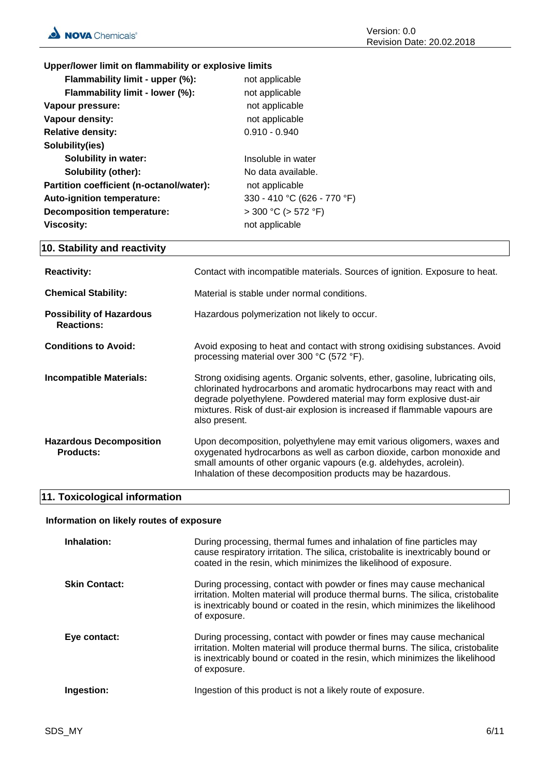# **Upper/lower limit on flammability or explosive limits**

| Flammability limit - upper (%):          | not applicable              |
|------------------------------------------|-----------------------------|
| Flammability limit - lower (%):          | not applicable              |
| Vapour pressure:                         | not applicable              |
| Vapour density:                          | not applicable              |
| <b>Relative density:</b>                 | $0.910 - 0.940$             |
| Solubility(ies)                          |                             |
| <b>Solubility in water:</b>              | Insoluble in water          |
| <b>Solubility (other):</b>               | No data available.          |
| Partition coefficient (n-octanol/water): | not applicable              |
| Auto-ignition temperature:               | 330 - 410 °C (626 - 770 °F) |
| <b>Decomposition temperature:</b>        | $>$ 300 °C ( $>$ 572 °F)    |
| <b>Viscosity:</b>                        | not applicable              |

# **10. Stability and reactivity**

| <b>Reactivity:</b>                                   | Contact with incompatible materials. Sources of ignition. Exposure to heat.                                                                                                                                                                                                                                                  |
|------------------------------------------------------|------------------------------------------------------------------------------------------------------------------------------------------------------------------------------------------------------------------------------------------------------------------------------------------------------------------------------|
| <b>Chemical Stability:</b>                           | Material is stable under normal conditions.                                                                                                                                                                                                                                                                                  |
| <b>Possibility of Hazardous</b><br><b>Reactions:</b> | Hazardous polymerization not likely to occur.                                                                                                                                                                                                                                                                                |
| <b>Conditions to Avoid:</b>                          | Avoid exposing to heat and contact with strong oxidising substances. Avoid<br>processing material over 300 °C (572 °F).                                                                                                                                                                                                      |
| <b>Incompatible Materials:</b>                       | Strong oxidising agents. Organic solvents, ether, gasoline, lubricating oils,<br>chlorinated hydrocarbons and aromatic hydrocarbons may react with and<br>degrade polyethylene. Powdered material may form explosive dust-air<br>mixtures. Risk of dust-air explosion is increased if flammable vapours are<br>also present. |
| <b>Hazardous Decomposition</b><br><b>Products:</b>   | Upon decomposition, polyethylene may emit various oligomers, waxes and<br>oxygenated hydrocarbons as well as carbon dioxide, carbon monoxide and<br>small amounts of other organic vapours (e.g. aldehydes, acrolein).<br>Inhalation of these decomposition products may be hazardous.                                       |

# **11. Toxicological information**

#### **Information on likely routes of exposure**

| Inhalation:          | During processing, thermal fumes and inhalation of fine particles may<br>cause respiratory irritation. The silica, cristobalite is inextricably bound or<br>coated in the resin, which minimizes the likelihood of exposure.                             |
|----------------------|----------------------------------------------------------------------------------------------------------------------------------------------------------------------------------------------------------------------------------------------------------|
| <b>Skin Contact:</b> | During processing, contact with powder or fines may cause mechanical<br>irritation. Molten material will produce thermal burns. The silica, cristobalite<br>is inextricably bound or coated in the resin, which minimizes the likelihood<br>of exposure. |
| Eye contact:         | During processing, contact with powder or fines may cause mechanical<br>irritation. Molten material will produce thermal burns. The silica, cristobalite<br>is inextricably bound or coated in the resin, which minimizes the likelihood<br>of exposure. |
| Ingestion:           | Ingestion of this product is not a likely route of exposure.                                                                                                                                                                                             |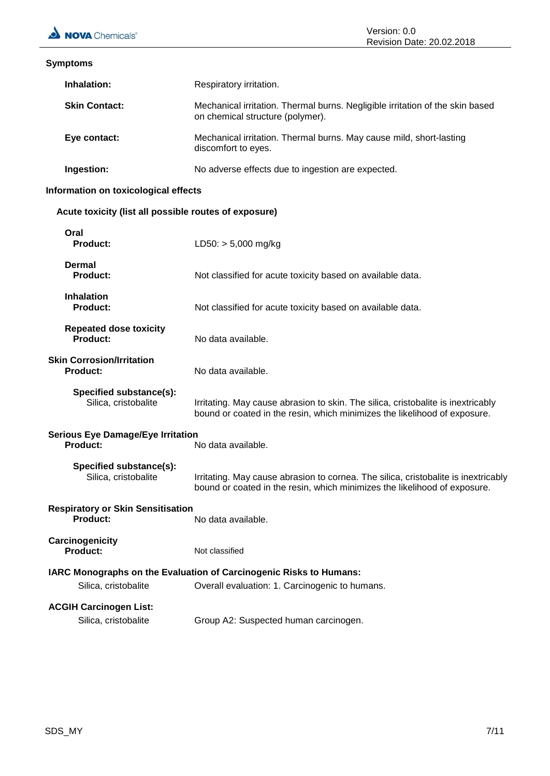| <b>Symptoms</b>                                             |                                                                                                                                                                 |
|-------------------------------------------------------------|-----------------------------------------------------------------------------------------------------------------------------------------------------------------|
| Inhalation:                                                 | Respiratory irritation.                                                                                                                                         |
| <b>Skin Contact:</b>                                        | Mechanical irritation. Thermal burns. Negligible irritation of the skin based<br>on chemical structure (polymer).                                               |
| Eye contact:                                                | Mechanical irritation. Thermal burns. May cause mild, short-lasting<br>discomfort to eyes.                                                                      |
| Ingestion:                                                  | No adverse effects due to ingestion are expected.                                                                                                               |
| Information on toxicological effects                        |                                                                                                                                                                 |
| Acute toxicity (list all possible routes of exposure)       |                                                                                                                                                                 |
| Oral<br><b>Product:</b>                                     | $LD50: > 5,000$ mg/kg                                                                                                                                           |
| Dermal<br><b>Product:</b>                                   | Not classified for acute toxicity based on available data.                                                                                                      |
| <b>Inhalation</b><br><b>Product:</b>                        | Not classified for acute toxicity based on available data.                                                                                                      |
| <b>Repeated dose toxicity</b><br><b>Product:</b>            | No data available.                                                                                                                                              |
| <b>Skin Corrosion/Irritation</b><br><b>Product:</b>         | No data available.                                                                                                                                              |
| Specified substance(s):<br>Silica, cristobalite             | Irritating. May cause abrasion to skin. The silica, cristobalite is inextricably<br>bound or coated in the resin, which minimizes the likelihood of exposure.   |
| <b>Serious Eye Damage/Eye Irritation</b><br><b>Product:</b> | No data available.                                                                                                                                              |
| Specified substance(s):<br>Silica, cristobalite             | Irritating. May cause abrasion to cornea. The silica, cristobalite is inextricably<br>bound or coated in the resin, which minimizes the likelihood of exposure. |
| <b>Respiratory or Skin Sensitisation</b><br><b>Product:</b> | No data available.                                                                                                                                              |
| Carcinogenicity<br><b>Product:</b>                          | Not classified                                                                                                                                                  |
| Silica, cristobalite                                        | IARC Monographs on the Evaluation of Carcinogenic Risks to Humans:<br>Overall evaluation: 1. Carcinogenic to humans.                                            |
| <b>ACGIH Carcinogen List:</b><br>Silica, cristobalite       | Group A2: Suspected human carcinogen.                                                                                                                           |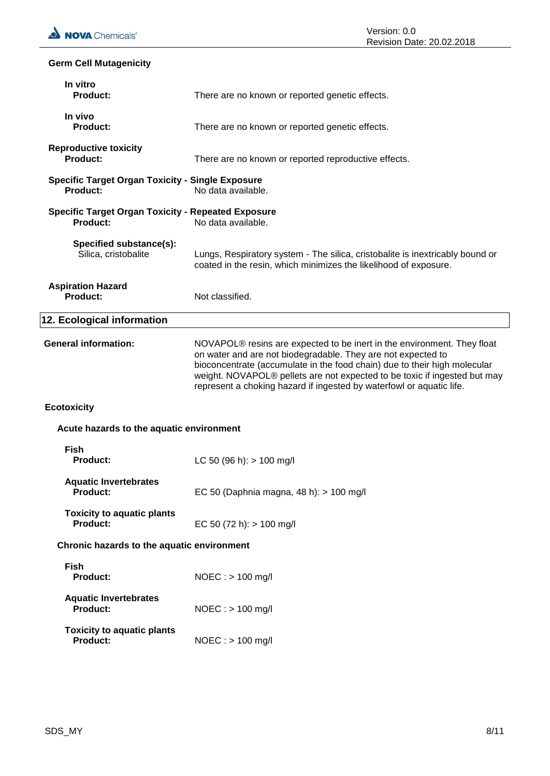# **Germ Cell Mutagenicity**

| In vitro<br><b>Product:</b>                                           | There are no known or reported genetic effects.                                                                                                                                                                                                                                                                                                                           |
|-----------------------------------------------------------------------|---------------------------------------------------------------------------------------------------------------------------------------------------------------------------------------------------------------------------------------------------------------------------------------------------------------------------------------------------------------------------|
| In vivo<br>Product:                                                   | There are no known or reported genetic effects.                                                                                                                                                                                                                                                                                                                           |
| <b>Reproductive toxicity</b><br><b>Product:</b>                       | There are no known or reported reproductive effects.                                                                                                                                                                                                                                                                                                                      |
| <b>Specific Target Organ Toxicity - Single Exposure</b><br>Product:   | No data available.                                                                                                                                                                                                                                                                                                                                                        |
| <b>Specific Target Organ Toxicity - Repeated Exposure</b><br>Product: | No data available.                                                                                                                                                                                                                                                                                                                                                        |
| Specified substance(s):<br>Silica, cristobalite                       | Lungs, Respiratory system - The silica, cristobalite is inextricably bound or<br>coated in the resin, which minimizes the likelihood of exposure.                                                                                                                                                                                                                         |
| <b>Aspiration Hazard</b><br><b>Product:</b>                           | Not classified.                                                                                                                                                                                                                                                                                                                                                           |
| 12. Ecological information                                            |                                                                                                                                                                                                                                                                                                                                                                           |
| <b>General information:</b>                                           | NOVAPOL® resins are expected to be inert in the environment. They float<br>on water and are not biodegradable. They are not expected to<br>bioconcentrate (accumulate in the food chain) due to their high molecular<br>weight. NOVAPOL® pellets are not expected to be toxic if ingested but may<br>represent a choking hazard if ingested by waterfowl or aquatic life. |
| <b>Ecotoxicity</b>                                                    |                                                                                                                                                                                                                                                                                                                                                                           |
| Acute hazards to the aquatic environment                              |                                                                                                                                                                                                                                                                                                                                                                           |
| <b>Fish</b><br>Product:                                               | LC 50 (96 h): $> 100$ mg/l                                                                                                                                                                                                                                                                                                                                                |
| <b>Aquatic Invertebrates</b><br><b>Product:</b>                       | EC 50 (Daphnia magna, 48 h): > 100 mg/l                                                                                                                                                                                                                                                                                                                                   |
| <b>Toxicity to aquatic plants</b><br>Product:                         | EC 50 (72 h): $> 100$ mg/l                                                                                                                                                                                                                                                                                                                                                |
| Chronic hazards to the aquatic environment                            |                                                                                                                                                                                                                                                                                                                                                                           |
| <b>Fish</b><br>Product:                                               | $NOEC : > 100$ mg/l                                                                                                                                                                                                                                                                                                                                                       |
| <b>Aquatic Invertebrates</b><br>Product:                              | $NOEC:$ > 100 mg/l                                                                                                                                                                                                                                                                                                                                                        |
| <b>Toxicity to aquatic plants</b><br><b>Product:</b>                  | $NOEC:$ > 100 mg/l                                                                                                                                                                                                                                                                                                                                                        |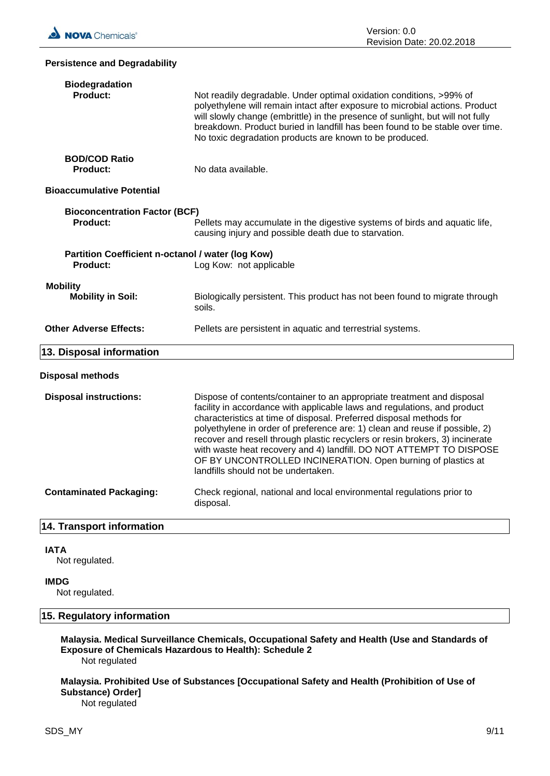#### **Persistence and Degradability**

| <b>Biodegradation</b><br>Product:                             | Not readily degradable. Under optimal oxidation conditions, >99% of<br>polyethylene will remain intact after exposure to microbial actions. Product<br>will slowly change (embrittle) in the presence of sunlight, but will not fully<br>breakdown. Product buried in landfill has been found to be stable over time.<br>No toxic degradation products are known to be produced.                                                                                                                                                                                       |
|---------------------------------------------------------------|------------------------------------------------------------------------------------------------------------------------------------------------------------------------------------------------------------------------------------------------------------------------------------------------------------------------------------------------------------------------------------------------------------------------------------------------------------------------------------------------------------------------------------------------------------------------|
| <b>BOD/COD Ratio</b><br><b>Product:</b>                       | No data available.                                                                                                                                                                                                                                                                                                                                                                                                                                                                                                                                                     |
| <b>Bioaccumulative Potential</b>                              |                                                                                                                                                                                                                                                                                                                                                                                                                                                                                                                                                                        |
| <b>Bioconcentration Factor (BCF)</b><br>Product:              | Pellets may accumulate in the digestive systems of birds and aquatic life,<br>causing injury and possible death due to starvation.                                                                                                                                                                                                                                                                                                                                                                                                                                     |
| Partition Coefficient n-octanol / water (log Kow)<br>Product: | Log Kow: not applicable                                                                                                                                                                                                                                                                                                                                                                                                                                                                                                                                                |
| <b>Mobility</b><br><b>Mobility in Soil:</b>                   | Biologically persistent. This product has not been found to migrate through<br>soils.                                                                                                                                                                                                                                                                                                                                                                                                                                                                                  |
| <b>Other Adverse Effects:</b>                                 | Pellets are persistent in aquatic and terrestrial systems.                                                                                                                                                                                                                                                                                                                                                                                                                                                                                                             |
| 13. Disposal information                                      |                                                                                                                                                                                                                                                                                                                                                                                                                                                                                                                                                                        |
| Disposal methods                                              |                                                                                                                                                                                                                                                                                                                                                                                                                                                                                                                                                                        |
| <b>Disposal instructions:</b>                                 | Dispose of contents/container to an appropriate treatment and disposal<br>facility in accordance with applicable laws and regulations, and product<br>characteristics at time of disposal. Preferred disposal methods for<br>polyethylene in order of preference are: 1) clean and reuse if possible, 2)<br>recover and resell through plastic recyclers or resin brokers, 3) incinerate<br>with waste heat recovery and 4) landfill. DO NOT ATTEMPT TO DISPOSE<br>OF BY UNCONTROLLED INCINERATION. Open burning of plastics at<br>landfills should not be undertaken. |
| <b>Contaminated Packaging:</b>                                | Check regional, national and local environmental regulations prior to<br>disposal.                                                                                                                                                                                                                                                                                                                                                                                                                                                                                     |
| 4.4 Teamanach infarmachan                                     |                                                                                                                                                                                                                                                                                                                                                                                                                                                                                                                                                                        |

### **14. Transport information**

#### **IATA**

Not regulated.

#### **IMDG**

Not regulated.

# **15. Regulatory information**

**Malaysia. Medical Surveillance Chemicals, Occupational Safety and Health (Use and Standards of Exposure of Chemicals Hazardous to Health): Schedule 2** Not regulated

**Malaysia. Prohibited Use of Substances [Occupational Safety and Health (Prohibition of Use of Substance) Order]** Not regulated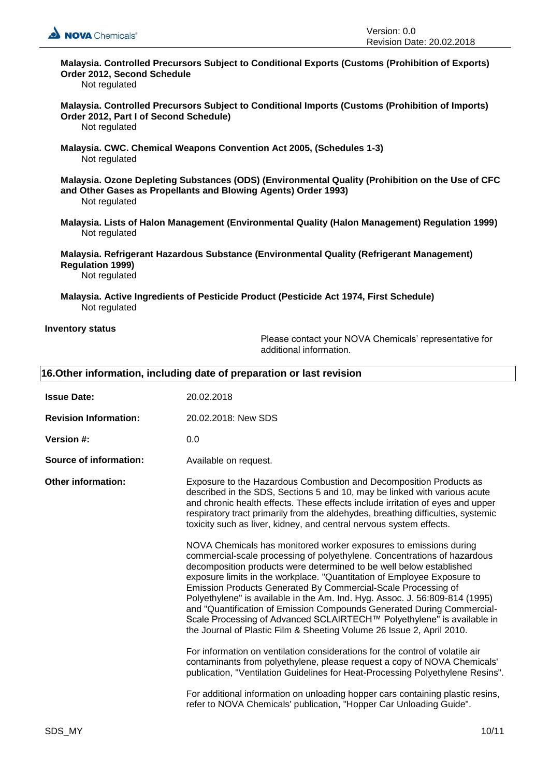

# **Malaysia. Controlled Precursors Subject to Conditional Exports (Customs (Prohibition of Exports) Order 2012, Second Schedule**

Not regulated

**Malaysia. Controlled Precursors Subject to Conditional Imports (Customs (Prohibition of Imports) Order 2012, Part I of Second Schedule)** 

Not regulated

**Malaysia. CWC. Chemical Weapons Convention Act 2005, (Schedules 1-3)**  Not regulated

**Malaysia. Ozone Depleting Substances (ODS) (Environmental Quality (Prohibition on the Use of CFC and Other Gases as Propellants and Blowing Agents) Order 1993)**  Not regulated

**Malaysia. Lists of Halon Management (Environmental Quality (Halon Management) Regulation 1999)**  Not regulated

**Malaysia. Refrigerant Hazardous Substance (Environmental Quality (Refrigerant Management) Regulation 1999)**  Not regulated

**Malaysia. Active Ingredients of Pesticide Product (Pesticide Act 1974, First Schedule)**  Not regulated

#### **Inventory status**

Please contact your NOVA Chemicals' representative for additional information.

| 16. Other information, including date of preparation or last revision |                                                                                                                                                                                                                                                                                                                                                                                                                                                                                                                                                                                                                                                                              |
|-----------------------------------------------------------------------|------------------------------------------------------------------------------------------------------------------------------------------------------------------------------------------------------------------------------------------------------------------------------------------------------------------------------------------------------------------------------------------------------------------------------------------------------------------------------------------------------------------------------------------------------------------------------------------------------------------------------------------------------------------------------|
| <b>Issue Date:</b>                                                    | 20.02.2018                                                                                                                                                                                                                                                                                                                                                                                                                                                                                                                                                                                                                                                                   |
| <b>Revision Information:</b>                                          | 20.02.2018: New SDS                                                                                                                                                                                                                                                                                                                                                                                                                                                                                                                                                                                                                                                          |
| Version #:                                                            | 0.0                                                                                                                                                                                                                                                                                                                                                                                                                                                                                                                                                                                                                                                                          |
| Source of information:                                                | Available on request.                                                                                                                                                                                                                                                                                                                                                                                                                                                                                                                                                                                                                                                        |
| <b>Other information:</b>                                             | Exposure to the Hazardous Combustion and Decomposition Products as<br>described in the SDS, Sections 5 and 10, may be linked with various acute<br>and chronic health effects. These effects include irritation of eyes and upper<br>respiratory tract primarily from the aldehydes, breathing difficulties, systemic<br>toxicity such as liver, kidney, and central nervous system effects.                                                                                                                                                                                                                                                                                 |
|                                                                       | NOVA Chemicals has monitored worker exposures to emissions during<br>commercial-scale processing of polyethylene. Concentrations of hazardous<br>decomposition products were determined to be well below established<br>exposure limits in the workplace. "Quantitation of Employee Exposure to<br>Emission Products Generated By Commercial-Scale Processing of<br>Polyethylene" is available in the Am. Ind. Hyg. Assoc. J. 56:809-814 (1995)<br>and "Quantification of Emission Compounds Generated During Commercial-<br>Scale Processing of Advanced SCLAIRTECH™ Polyethylene" is available in<br>the Journal of Plastic Film & Sheeting Volume 26 Issue 2, April 2010. |
|                                                                       | For information on ventilation considerations for the control of volatile air<br>contaminants from polyethylene, please request a copy of NOVA Chemicals'<br>publication, "Ventilation Guidelines for Heat-Processing Polyethylene Resins".                                                                                                                                                                                                                                                                                                                                                                                                                                  |
|                                                                       | For additional information on unloading hopper cars containing plastic resins,<br>refer to NOVA Chemicals' publication, "Hopper Car Unloading Guide".                                                                                                                                                                                                                                                                                                                                                                                                                                                                                                                        |